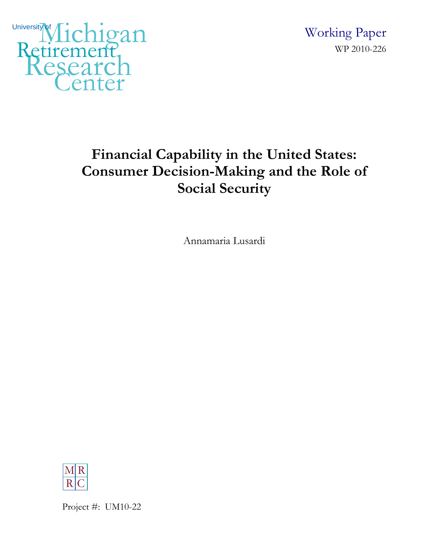

 Working Paper WP 2010-226

# **Financial Capability in the United States: Consumer Decision-Making and the Role of Social Security**

Annamaria Lusardi



Project #: UM10-22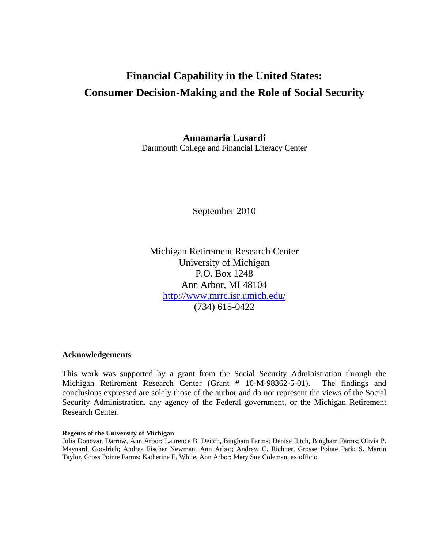# **Financial Capability in the United States: Consumer Decision-Making and the Role of Social Security**

**Annamaria Lusardi** 

Dartmouth College and Financial Literacy Center

September 2010

Michigan Retirement Research Center University of Michigan P.O. Box 1248 Ann Arbor, MI 48104 http://www.mrrc.isr.umich.edu/ (734) 615-0422

# **Acknowledgements**

This work was supported by a grant from the Social Security Administration through the Michigan Retirement Research Center (Grant # 10-M-98362-5-01). The findings and conclusions expressed are solely those of the author and do not represent the views of the Social Security Administration, any agency of the Federal government, or the Michigan Retirement Research Center.

#### **Regents of the University of Michigan**

Julia Donovan Darrow, Ann Arbor; Laurence B. Deitch, Bingham Farms; Denise Ilitch, Bingham Farms; Olivia P. Maynard, Goodrich; Andrea Fischer Newman, Ann Arbor; Andrew C. Richner, Grosse Pointe Park; S. Martin Taylor, Gross Pointe Farms; Katherine E. White, Ann Arbor; Mary Sue Coleman, ex officio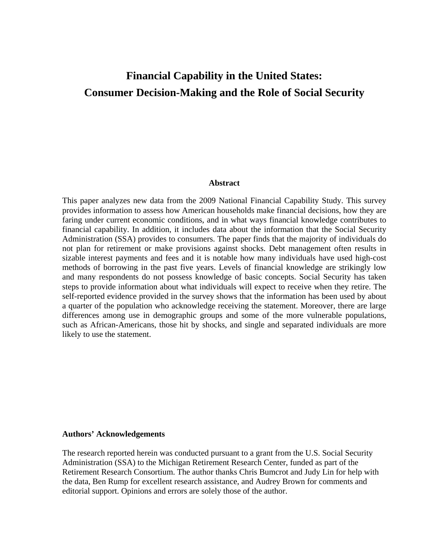# **Financial Capability in the United States: Consumer Decision-Making and the Role of Social Security**

#### **Abstract**

This paper analyzes new data from the 2009 National Financial Capability Study. This survey provides information to assess how American households make financial decisions, how they are faring under current economic conditions, and in what ways financial knowledge contributes to financial capability. In addition, it includes data about the information that the Social Security Administration (SSA) provides to consumers. The paper finds that the majority of individuals do not plan for retirement or make provisions against shocks. Debt management often results in sizable interest payments and fees and it is notable how many individuals have used high-cost methods of borrowing in the past five years. Levels of financial knowledge are strikingly low and many respondents do not possess knowledge of basic concepts. Social Security has taken steps to provide information about what individuals will expect to receive when they retire. The self-reported evidence provided in the survey shows that the information has been used by about a quarter of the population who acknowledge receiving the statement. Moreover, there are large differences among use in demographic groups and some of the more vulnerable populations, such as African-Americans, those hit by shocks, and single and separated individuals are more likely to use the statement.

#### **Authors' Acknowledgements**

The research reported herein was conducted pursuant to a grant from the U.S. Social Security Administration (SSA) to the Michigan Retirement Research Center, funded as part of the Retirement Research Consortium. The author thanks Chris Bumcrot and Judy Lin for help with the data, Ben Rump for excellent research assistance, and Audrey Brown for comments and editorial support. Opinions and errors are solely those of the author.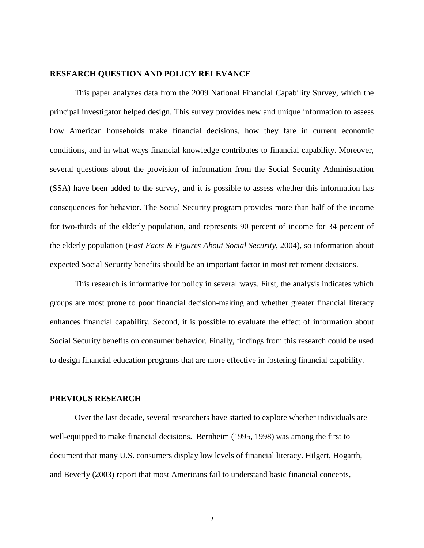# **RESEARCH QUESTION AND POLICY RELEVANCE**

This paper analyzes data from the 2009 National Financial Capability Survey, which the principal investigator helped design. This survey provides new and unique information to assess how American households make financial decisions, how they fare in current economic conditions, and in what ways financial knowledge contributes to financial capability. Moreover, several questions about the provision of information from the Social Security Administration (SSA) have been added to the survey, and it is possible to assess whether this information has consequences for behavior. The Social Security program provides more than half of the income for two-thirds of the elderly population, and represents 90 percent of income for 34 percent of the elderly population (*Fast Facts & Figures About Social Security,* 2004), so information about expected Social Security benefits should be an important factor in most retirement decisions.

This research is informative for policy in several ways. First, the analysis indicates which groups are most prone to poor financial decision-making and whether greater financial literacy enhances financial capability. Second, it is possible to evaluate the effect of information about Social Security benefits on consumer behavior. Finally, findings from this research could be used to design financial education programs that are more effective in fostering financial capability.

#### **PREVIOUS RESEARCH**

Over the last decade, several researchers have started to explore whether individuals are well-equipped to make financial decisions. Bernheim (1995, 1998) was among the first to document that many U.S. consumers display low levels of financial literacy. Hilgert, Hogarth, and Beverly (2003) report that most Americans fail to understand basic financial concepts,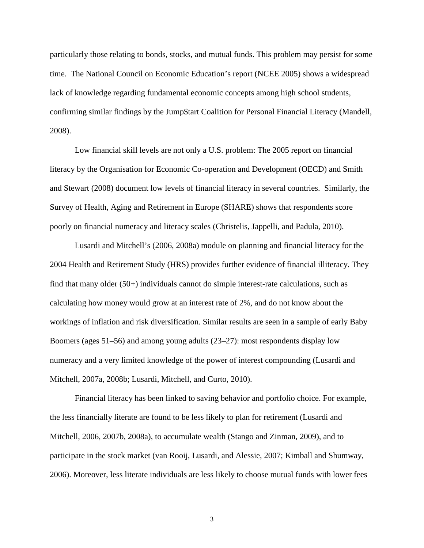particularly those relating to bonds, stocks, and mutual funds. This problem may persist for some time. The National Council on Economic Education's report (NCEE 2005) shows a widespread lack of knowledge regarding fundamental economic concepts among high school students, confirming similar findings by the Jump\$tart Coalition for Personal Financial Literacy (Mandell, 2008).

Low financial skill levels are not only a U.S. problem: The 2005 report on financial literacy by the Organisation for Economic Co-operation and Development (OECD) and Smith and Stewart (2008) document low levels of financial literacy in several countries. Similarly, the Survey of Health, Aging and Retirement in Europe (SHARE) shows that respondents score poorly on financial numeracy and literacy scales (Christelis, Jappelli, and Padula, 2010).

 Lusardi and Mitchell's (2006, 2008a) module on planning and financial literacy for the 2004 Health and Retirement Study (HRS) provides further evidence of financial illiteracy. They find that many older (50+) individuals cannot do simple interest-rate calculations, such as calculating how money would grow at an interest rate of 2%, and do not know about the workings of inflation and risk diversification. Similar results are seen in a sample of early Baby Boomers (ages 51–56) and among young adults (23–27): most respondents display low numeracy and a very limited knowledge of the power of interest compounding (Lusardi and Mitchell, 2007a, 2008b; Lusardi, Mitchell, and Curto, 2010).

Financial literacy has been linked to saving behavior and portfolio choice. For example, the less financially literate are found to be less likely to plan for retirement (Lusardi and Mitchell, 2006, 2007b, 2008a), to accumulate wealth (Stango and Zinman, 2009), and to participate in the stock market (van Rooij, Lusardi, and Alessie, 2007; Kimball and Shumway, 2006). Moreover, less literate individuals are less likely to choose mutual funds with lower fees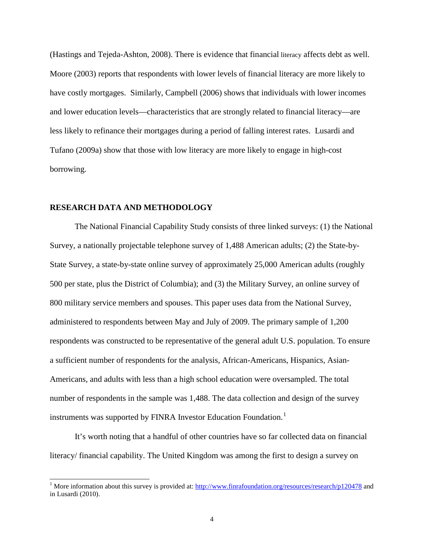(Hastings and Tejeda-Ashton, 2008). There is evidence that financial literacy affects debt as well. Moore (2003) reports that respondents with lower levels of financial literacy are more likely to have costly mortgages. Similarly, Campbell (2006) shows that individuals with lower incomes and lower education levels—characteristics that are strongly related to financial literacy—are less likely to refinance their mortgages during a period of falling interest rates. Lusardi and Tufano (2009a) show that those with low literacy are more likely to engage in high-cost borrowing.

# **RESEARCH DATA AND METHODOLOGY**

 $\overline{a}$ 

The National Financial Capability Study consists of three linked surveys: (1) the National Survey, a nationally projectable telephone survey of 1,488 American adults; (2) the State-by-State Survey, a state-by-state online survey of approximately 25,000 American adults (roughly 500 per state, plus the District of Columbia); and (3) the Military Survey, an online survey of 800 military service members and spouses. This paper uses data from the National Survey, administered to respondents between May and July of 2009. The primary sample of 1,200 respondents was constructed to be representative of the general adult U.S. population. To ensure a sufficient number of respondents for the analysis, African-Americans, Hispanics, Asian-Americans, and adults with less than a high school education were oversampled. The total number of respondents in the sample was 1,488. The data collection and design of the survey instruments was supported by FINRA Investor Education Foundation.<sup>[1](#page-5-0)</sup>

It's worth noting that a handful of other countries have so far collected data on financial literacy/ financial capability. The United Kingdom was among the first to design a survey on

<span id="page-5-0"></span><sup>&</sup>lt;sup>1</sup> More information about this survey is provided at:  $\frac{http://www.finrafoundation.org/resources/research/p120478}{}$  and in Lusardi (2010).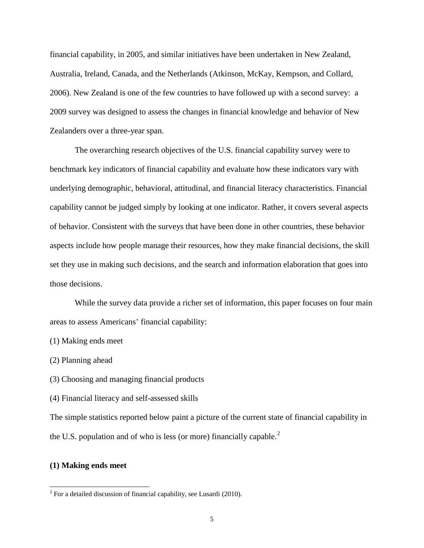financial capability, in 2005, and similar initiatives have been undertaken in New Zealand, Australia, Ireland, Canada, and the Netherlands (Atkinson, McKay, Kempson, and Collard, 2006). New Zealand is one of the few countries to have followed up with a second survey: a 2009 survey was designed to assess the changes in financial knowledge and behavior of New Zealanders over a three-year span.

The overarching research objectives of the U.S. financial capability survey were to benchmark key indicators of financial capability and evaluate how these indicators vary with underlying demographic, behavioral, attitudinal, and financial literacy characteristics. Financial capability cannot be judged simply by looking at one indicator. Rather, it covers several aspects of behavior. Consistent with the surveys that have been done in other countries, these behavior aspects include how people manage their resources, how they make financial decisions, the skill set they use in making such decisions, and the search and information elaboration that goes into those decisions.

While the survey data provide a richer set of information, this paper focuses on four main areas to assess Americans' financial capability:

(1) Making ends meet

(2) Planning ahead

(3) Choosing and managing financial products

(4) Financial literacy and self-assessed skills

The simple statistics reported below paint a picture of the current state of financial capability in the U.S. population and of who is less (or more) financially capable. $<sup>2</sup>$  $<sup>2</sup>$  $<sup>2</sup>$ </sup>

# **(1) Making ends meet**

 $\overline{a}$ 

<span id="page-6-0"></span> $2^2$  For a detailed discussion of financial capability, see Lusardi (2010).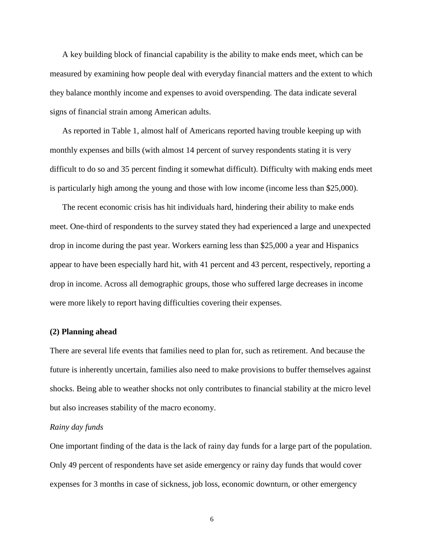A key building block of financial capability is the ability to make ends meet, which can be measured by examining how people deal with everyday financial matters and the extent to which they balance monthly income and expenses to avoid overspending. The data indicate several signs of financial strain among American adults.

As reported in Table 1, almost half of Americans reported having trouble keeping up with monthly expenses and bills (with almost 14 percent of survey respondents stating it is very difficult to do so and 35 percent finding it somewhat difficult). Difficulty with making ends meet is particularly high among the young and those with low income (income less than \$25,000).

The recent economic crisis has hit individuals hard, hindering their ability to make ends meet. One-third of respondents to the survey stated they had experienced a large and unexpected drop in income during the past year. Workers earning less than \$25,000 a year and Hispanics appear to have been especially hard hit, with 41 percent and 43 percent, respectively, reporting a drop in income. Across all demographic groups, those who suffered large decreases in income were more likely to report having difficulties covering their expenses.

#### **(2) Planning ahead**

There are several life events that families need to plan for, such as retirement. And because the future is inherently uncertain, families also need to make provisions to buffer themselves against shocks. Being able to weather shocks not only contributes to financial stability at the micro level but also increases stability of the macro economy.

#### *Rainy day funds*

One important finding of the data is the lack of rainy day funds for a large part of the population. Only 49 percent of respondents have set aside emergency or rainy day funds that would cover expenses for 3 months in case of sickness, job loss, economic downturn, or other emergency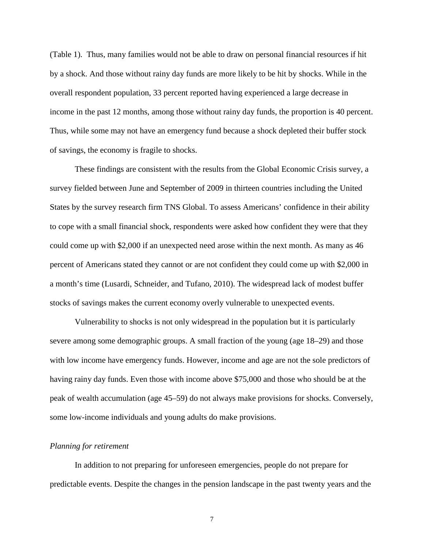(Table 1). Thus, many families would not be able to draw on personal financial resources if hit by a shock. And those without rainy day funds are more likely to be hit by shocks. While in the overall respondent population, 33 percent reported having experienced a large decrease in income in the past 12 months, among those without rainy day funds, the proportion is 40 percent. Thus, while some may not have an emergency fund because a shock depleted their buffer stock of savings, the economy is fragile to shocks.

These findings are consistent with the results from the Global Economic Crisis survey, a survey fielded between June and September of 2009 in thirteen countries including the United States by the survey research firm TNS Global. To assess Americans' confidence in their ability to cope with a small financial shock, respondents were asked how confident they were that they could come up with \$2,000 if an unexpected need arose within the next month. As many as 46 percent of Americans stated they cannot or are not confident they could come up with \$2,000 in a month's time (Lusardi, Schneider, and Tufano, 2010). The widespread lack of modest buffer stocks of savings makes the current economy overly vulnerable to unexpected events.

Vulnerability to shocks is not only widespread in the population but it is particularly severe among some demographic groups. A small fraction of the young (age 18–29) and those with low income have emergency funds. However, income and age are not the sole predictors of having rainy day funds. Even those with income above \$75,000 and those who should be at the peak of wealth accumulation (age 45–59) do not always make provisions for shocks. Conversely, some low-income individuals and young adults do make provisions.

# *Planning for retirement*

 In addition to not preparing for unforeseen emergencies, people do not prepare for predictable events. Despite the changes in the pension landscape in the past twenty years and the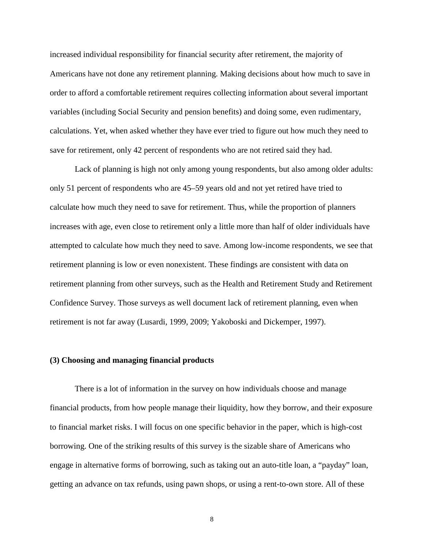increased individual responsibility for financial security after retirement, the majority of Americans have not done any retirement planning. Making decisions about how much to save in order to afford a comfortable retirement requires collecting information about several important variables (including Social Security and pension benefits) and doing some, even rudimentary, calculations. Yet, when asked whether they have ever tried to figure out how much they need to save for retirement, only 42 percent of respondents who are not retired said they had.

 Lack of planning is high not only among young respondents, but also among older adults: only 51 percent of respondents who are 45–59 years old and not yet retired have tried to calculate how much they need to save for retirement. Thus, while the proportion of planners increases with age, even close to retirement only a little more than half of older individuals have attempted to calculate how much they need to save. Among low-income respondents, we see that retirement planning is low or even nonexistent. These findings are consistent with data on retirement planning from other surveys, such as the Health and Retirement Study and Retirement Confidence Survey. Those surveys as well document lack of retirement planning, even when retirement is not far away (Lusardi, 1999, 2009; Yakoboski and Dickemper, 1997).

# **(3) Choosing and managing financial products**

There is a lot of information in the survey on how individuals choose and manage financial products, from how people manage their liquidity, how they borrow, and their exposure to financial market risks. I will focus on one specific behavior in the paper, which is high-cost borrowing. One of the striking results of this survey is the sizable share of Americans who engage in alternative forms of borrowing, such as taking out an auto-title loan, a "payday" loan, getting an advance on tax refunds, using pawn shops, or using a rent-to-own store. All of these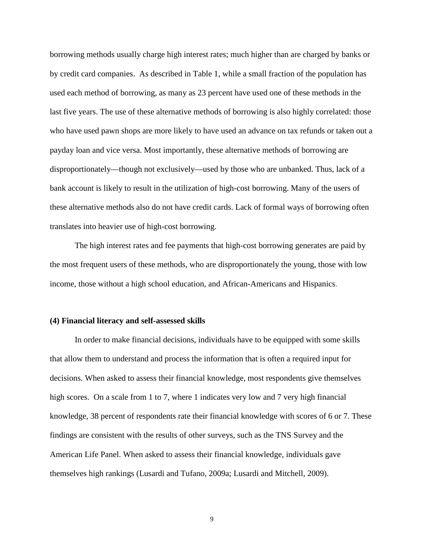borrowing methods usually charge high interest rates; much higher than are charged by banks or by credit card companies. As described in Table 1, while a small fraction of the population has used each method of borrowing, as many as 23 percent have used one of these methods in the last five years. The use of these alternative methods of borrowing is also highly correlated: those who have used pawn shops are more likely to have used an advance on tax refunds or taken out a payday loan and vice versa. Most importantly, these alternative methods of borrowing are disproportionately—though not exclusively—used by those who are unbanked. Thus, lack of a bank account is likely to result in the utilization of high-cost borrowing. Many of the users of these alternative methods also do not have credit cards. Lack of formal ways of borrowing often translates into heavier use of high-cost borrowing.

The high interest rates and fee payments that high-cost borrowing generates are paid by the most frequent users of these methods, who are disproportionately the young, those with low income, those without a high school education, and African-Americans and Hispanics.

#### **(4) Financial literacy and self-assessed skills**

 In order to make financial decisions, individuals have to be equipped with some skills that allow them to understand and process the information that is often a required input for decisions. When asked to assess their financial knowledge, most respondents give themselves high scores. On a scale from 1 to 7, where 1 indicates very low and 7 very high financial knowledge, 38 percent of respondents rate their financial knowledge with scores of 6 or 7. These findings are consistent with the results of other surveys, such as the TNS Survey and the American Life Panel. When asked to assess their financial knowledge, individuals gave themselves high rankings (Lusardi and Tufano, 2009a; Lusardi and Mitchell, 2009).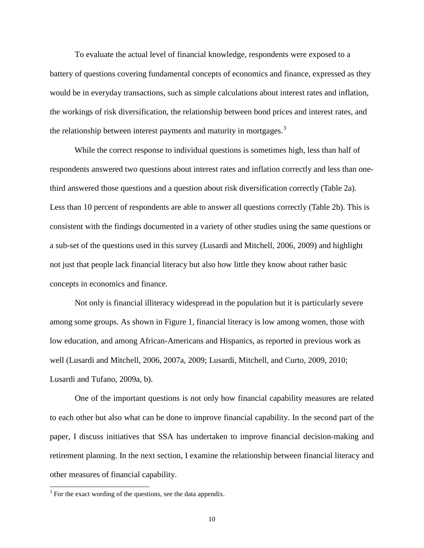To evaluate the actual level of financial knowledge, respondents were exposed to a battery of questions covering fundamental concepts of economics and finance, expressed as they would be in everyday transactions, such as simple calculations about interest rates and inflation, the workings of risk diversification, the relationship between bond prices and interest rates, and the relationship between interest payments and maturity in mortgages.<sup>[3](#page-11-0)</sup>

 While the correct response to individual questions is sometimes high, less than half of respondents answered two questions about interest rates and inflation correctly and less than onethird answered those questions and a question about risk diversification correctly (Table 2a). Less than 10 percent of respondents are able to answer all questions correctly (Table 2b). This is consistent with the findings documented in a variety of other studies using the same questions or a sub-set of the questions used in this survey (Lusardi and Mitchell, 2006, 2009) and highlight not just that people lack financial literacy but also how little they know about rather basic concepts in economics and finance.

Not only is financial illiteracy widespread in the population but it is particularly severe among some groups. As shown in Figure 1, financial literacy is low among women, those with low education, and among African-Americans and Hispanics, as reported in previous work as well (Lusardi and Mitchell, 2006, 2007a, 2009; Lusardi, Mitchell, and Curto, 2009, 2010; Lusardi and Tufano, 2009a, b).

One of the important questions is not only how financial capability measures are related to each other but also what can be done to improve financial capability. In the second part of the paper, I discuss initiatives that SSA has undertaken to improve financial decision-making and retirement planning. In the next section, I examine the relationship between financial literacy and other measures of financial capability.

 $\overline{a}$ 

<span id="page-11-0"></span><sup>&</sup>lt;sup>3</sup> For the exact wording of the questions, see the data appendix.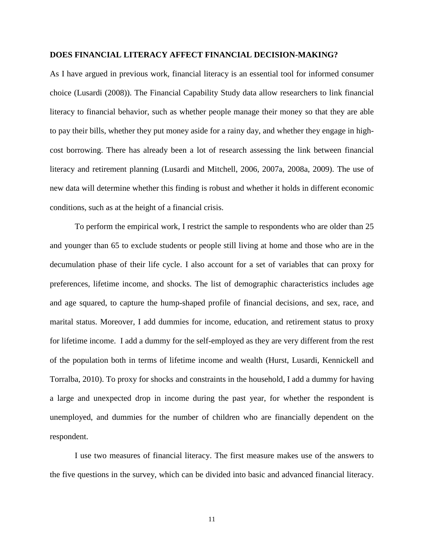#### **DOES FINANCIAL LITERACY AFFECT FINANCIAL DECISION-MAKING?**

As I have argued in previous work, financial literacy is an essential tool for informed consumer choice (Lusardi (2008)). The Financial Capability Study data allow researchers to link financial literacy to financial behavior, such as whether people manage their money so that they are able to pay their bills, whether they put money aside for a rainy day, and whether they engage in highcost borrowing. There has already been a lot of research assessing the link between financial literacy and retirement planning (Lusardi and Mitchell, 2006, 2007a, 2008a, 2009). The use of new data will determine whether this finding is robust and whether it holds in different economic conditions, such as at the height of a financial crisis.

To perform the empirical work, I restrict the sample to respondents who are older than 25 and younger than 65 to exclude students or people still living at home and those who are in the decumulation phase of their life cycle. I also account for a set of variables that can proxy for preferences, lifetime income, and shocks. The list of demographic characteristics includes age and age squared, to capture the hump-shaped profile of financial decisions, and sex, race, and marital status. Moreover, I add dummies for income, education, and retirement status to proxy for lifetime income. I add a dummy for the self-employed as they are very different from the rest of the population both in terms of lifetime income and wealth (Hurst, Lusardi, Kennickell and Torralba, 2010). To proxy for shocks and constraints in the household, I add a dummy for having a large and unexpected drop in income during the past year, for whether the respondent is unemployed, and dummies for the number of children who are financially dependent on the respondent.

I use two measures of financial literacy. The first measure makes use of the answers to the five questions in the survey, which can be divided into basic and advanced financial literacy.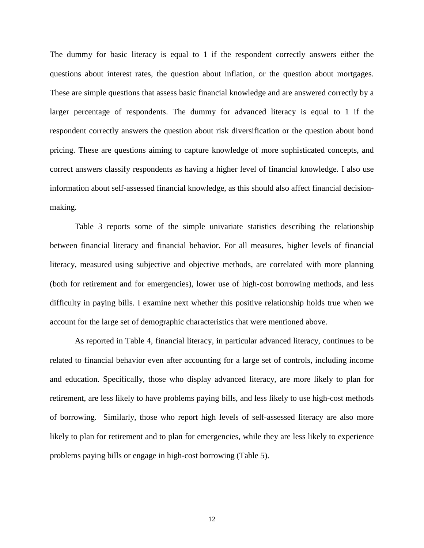The dummy for basic literacy is equal to 1 if the respondent correctly answers either the questions about interest rates, the question about inflation, or the question about mortgages. These are simple questions that assess basic financial knowledge and are answered correctly by a larger percentage of respondents. The dummy for advanced literacy is equal to 1 if the respondent correctly answers the question about risk diversification or the question about bond pricing. These are questions aiming to capture knowledge of more sophisticated concepts, and correct answers classify respondents as having a higher level of financial knowledge. I also use information about self-assessed financial knowledge, as this should also affect financial decisionmaking.

Table 3 reports some of the simple univariate statistics describing the relationship between financial literacy and financial behavior. For all measures, higher levels of financial literacy, measured using subjective and objective methods, are correlated with more planning (both for retirement and for emergencies), lower use of high-cost borrowing methods, and less difficulty in paying bills. I examine next whether this positive relationship holds true when we account for the large set of demographic characteristics that were mentioned above.

As reported in Table 4, financial literacy, in particular advanced literacy, continues to be related to financial behavior even after accounting for a large set of controls, including income and education. Specifically, those who display advanced literacy, are more likely to plan for retirement, are less likely to have problems paying bills, and less likely to use high-cost methods of borrowing. Similarly, those who report high levels of self-assessed literacy are also more likely to plan for retirement and to plan for emergencies, while they are less likely to experience problems paying bills or engage in high-cost borrowing (Table 5).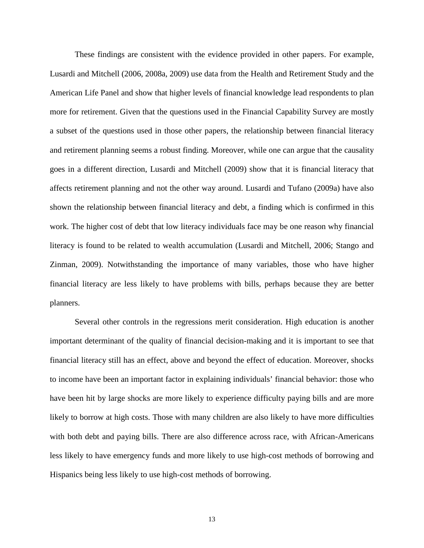These findings are consistent with the evidence provided in other papers. For example, Lusardi and Mitchell (2006, 2008a, 2009) use data from the Health and Retirement Study and the American Life Panel and show that higher levels of financial knowledge lead respondents to plan more for retirement. Given that the questions used in the Financial Capability Survey are mostly a subset of the questions used in those other papers, the relationship between financial literacy and retirement planning seems a robust finding. Moreover, while one can argue that the causality goes in a different direction, Lusardi and Mitchell (2009) show that it is financial literacy that affects retirement planning and not the other way around. Lusardi and Tufano (2009a) have also shown the relationship between financial literacy and debt, a finding which is confirmed in this work. The higher cost of debt that low literacy individuals face may be one reason why financial literacy is found to be related to wealth accumulation (Lusardi and Mitchell, 2006; Stango and Zinman, 2009). Notwithstanding the importance of many variables, those who have higher financial literacy are less likely to have problems with bills, perhaps because they are better planners.

Several other controls in the regressions merit consideration. High education is another important determinant of the quality of financial decision-making and it is important to see that financial literacy still has an effect, above and beyond the effect of education. Moreover, shocks to income have been an important factor in explaining individuals' financial behavior: those who have been hit by large shocks are more likely to experience difficulty paying bills and are more likely to borrow at high costs. Those with many children are also likely to have more difficulties with both debt and paying bills. There are also difference across race, with African-Americans less likely to have emergency funds and more likely to use high-cost methods of borrowing and Hispanics being less likely to use high-cost methods of borrowing.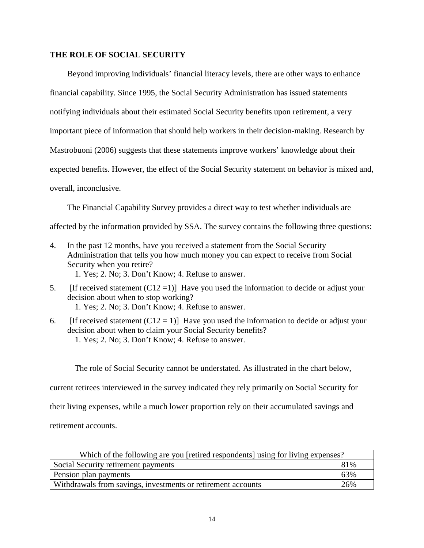# **THE ROLE OF SOCIAL SECURITY**

Beyond improving individuals' financial literacy levels, there are other ways to enhance financial capability. Since 1995, the Social Security Administration has issued statements notifying individuals about their estimated Social Security benefits upon retirement, a very important piece of information that should help workers in their decision-making. Research by Mastrobuoni (2006) suggests that these statements improve workers' knowledge about their expected benefits. However, the effect of the Social Security statement on behavior is mixed and, overall, inconclusive.

The Financial Capability Survey provides a direct way to test whether individuals are

affected by the information provided by SSA. The survey contains the following three questions:

4. In the past 12 months, have you received a statement from the Social Security Administration that tells you how much money you can expect to receive from Social Security when you retire?

1. Yes; 2. No; 3. Don't Know; 4. Refuse to answer.

- 5. [If received statement  $(C12=1)$ ] Have you used the information to decide or adjust your decision about when to stop working?
	- 1. Yes; 2. No; 3. Don't Know; 4. Refuse to answer.
- 6. [If received statement  $(C12 = 1)$ ] Have you used the information to decide or adjust your decision about when to claim your Social Security benefits? 1. Yes; 2. No; 3. Don't Know; 4. Refuse to answer.

The role of Social Security cannot be understated. As illustrated in the chart below,

current retirees interviewed in the survey indicated they rely primarily on Social Security for

their living expenses, while a much lower proportion rely on their accumulated savings and

retirement accounts.

| Which of the following are you [retired respondents] using for living expenses? |     |  |  |  |
|---------------------------------------------------------------------------------|-----|--|--|--|
| 81%<br>Social Security retirement payments                                      |     |  |  |  |
| Pension plan payments                                                           | 63% |  |  |  |
| Withdrawals from savings, investments or retirement accounts                    | 26% |  |  |  |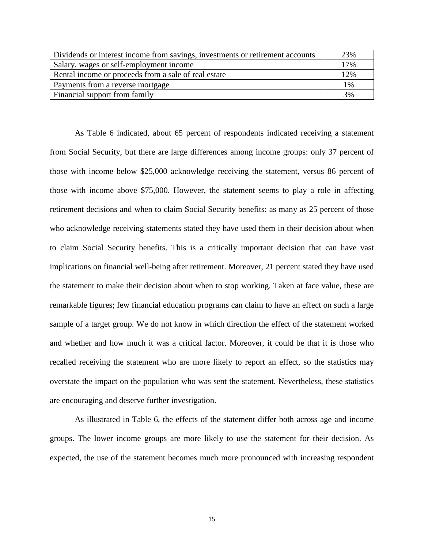| Dividends or interest income from savings, investments or retirement accounts | 23% |
|-------------------------------------------------------------------------------|-----|
| Salary, wages or self-employment income                                       | 17% |
| Rental income or proceeds from a sale of real estate                          | 12% |
| Payments from a reverse mortgage                                              | 1%  |
| Financial support from family                                                 | 3%  |

As Table 6 indicated, about 65 percent of respondents indicated receiving a statement from Social Security, but there are large differences among income groups: only 37 percent of those with income below \$25,000 acknowledge receiving the statement, versus 86 percent of those with income above \$75,000. However, the statement seems to play a role in affecting retirement decisions and when to claim Social Security benefits: as many as 25 percent of those who acknowledge receiving statements stated they have used them in their decision about when to claim Social Security benefits. This is a critically important decision that can have vast implications on financial well-being after retirement. Moreover, 21 percent stated they have used the statement to make their decision about when to stop working. Taken at face value, these are remarkable figures; few financial education programs can claim to have an effect on such a large sample of a target group. We do not know in which direction the effect of the statement worked and whether and how much it was a critical factor. Moreover, it could be that it is those who recalled receiving the statement who are more likely to report an effect, so the statistics may overstate the impact on the population who was sent the statement. Nevertheless, these statistics are encouraging and deserve further investigation.

As illustrated in Table 6, the effects of the statement differ both across age and income groups. The lower income groups are more likely to use the statement for their decision. As expected, the use of the statement becomes much more pronounced with increasing respondent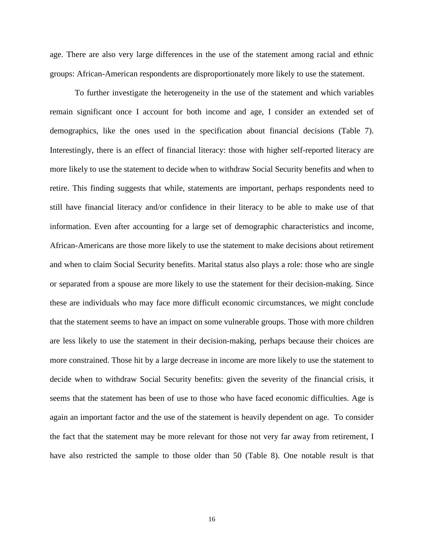age. There are also very large differences in the use of the statement among racial and ethnic groups: African-American respondents are disproportionately more likely to use the statement.

To further investigate the heterogeneity in the use of the statement and which variables remain significant once I account for both income and age, I consider an extended set of demographics, like the ones used in the specification about financial decisions (Table 7). Interestingly, there is an effect of financial literacy: those with higher self-reported literacy are more likely to use the statement to decide when to withdraw Social Security benefits and when to retire. This finding suggests that while, statements are important, perhaps respondents need to still have financial literacy and/or confidence in their literacy to be able to make use of that information. Even after accounting for a large set of demographic characteristics and income, African-Americans are those more likely to use the statement to make decisions about retirement and when to claim Social Security benefits. Marital status also plays a role: those who are single or separated from a spouse are more likely to use the statement for their decision-making. Since these are individuals who may face more difficult economic circumstances, we might conclude that the statement seems to have an impact on some vulnerable groups. Those with more children are less likely to use the statement in their decision-making, perhaps because their choices are more constrained. Those hit by a large decrease in income are more likely to use the statement to decide when to withdraw Social Security benefits: given the severity of the financial crisis, it seems that the statement has been of use to those who have faced economic difficulties. Age is again an important factor and the use of the statement is heavily dependent on age. To consider the fact that the statement may be more relevant for those not very far away from retirement, I have also restricted the sample to those older than 50 (Table 8). One notable result is that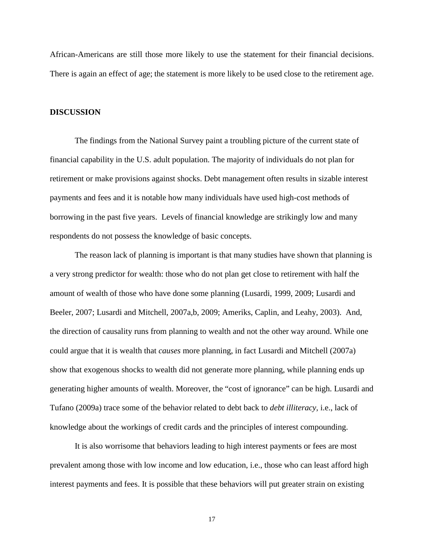African-Americans are still those more likely to use the statement for their financial decisions. There is again an effect of age; the statement is more likely to be used close to the retirement age.

#### **DISCUSSION**

The findings from the National Survey paint a troubling picture of the current state of financial capability in the U.S. adult population. The majority of individuals do not plan for retirement or make provisions against shocks. Debt management often results in sizable interest payments and fees and it is notable how many individuals have used high-cost methods of borrowing in the past five years. Levels of financial knowledge are strikingly low and many respondents do not possess the knowledge of basic concepts.

The reason lack of planning is important is that many studies have shown that planning is a very strong predictor for wealth: those who do not plan get close to retirement with half the amount of wealth of those who have done some planning (Lusardi, 1999, 2009; Lusardi and Beeler, 2007; Lusardi and Mitchell, 2007a,b, 2009; Ameriks, Caplin, and Leahy, 2003). And, the direction of causality runs from planning to wealth and not the other way around. While one could argue that it is wealth that *causes* more planning, in fact Lusardi and Mitchell (2007a) show that exogenous shocks to wealth did not generate more planning, while planning ends up generating higher amounts of wealth. Moreover, the "cost of ignorance" can be high. Lusardi and Tufano (2009a) trace some of the behavior related to debt back to *debt illiteracy,* i.e., lack of knowledge about the workings of credit cards and the principles of interest compounding.

It is also worrisome that behaviors leading to high interest payments or fees are most prevalent among those with low income and low education, i.e., those who can least afford high interest payments and fees. It is possible that these behaviors will put greater strain on existing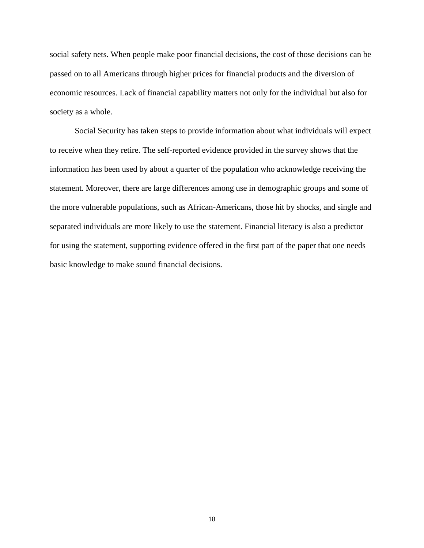social safety nets. When people make poor financial decisions, the cost of those decisions can be passed on to all Americans through higher prices for financial products and the diversion of economic resources. Lack of financial capability matters not only for the individual but also for society as a whole.

Social Security has taken steps to provide information about what individuals will expect to receive when they retire. The self-reported evidence provided in the survey shows that the information has been used by about a quarter of the population who acknowledge receiving the statement. Moreover, there are large differences among use in demographic groups and some of the more vulnerable populations, such as African-Americans, those hit by shocks, and single and separated individuals are more likely to use the statement. Financial literacy is also a predictor for using the statement, supporting evidence offered in the first part of the paper that one needs basic knowledge to make sound financial decisions.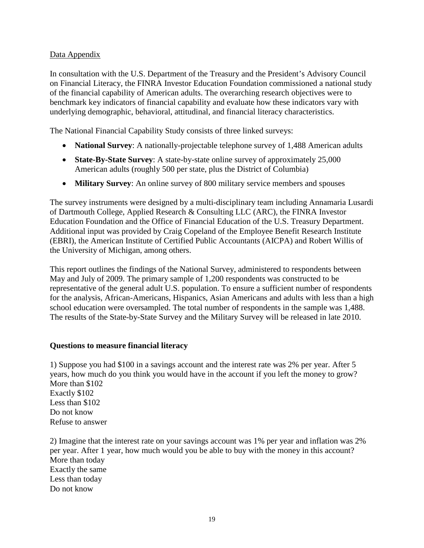# Data Appendix

In consultation with the U.S. Department of the Treasury and the President's Advisory Council on Financial Literacy, the FINRA Investor Education Foundation commissioned a national study of the financial capability of American adults. The overarching research objectives were to benchmark key indicators of financial capability and evaluate how these indicators vary with underlying demographic, behavioral, attitudinal, and financial literacy characteristics.

The National Financial Capability Study consists of three linked surveys:

- **National Survey:** A nationally-projectable telephone survey of 1,488 American adults
- **State-By-State Survey**: A state-by-state online survey of approximately 25,000 American adults (roughly 500 per state, plus the District of Columbia)
- **Military Survey**: An online survey of 800 military service members and spouses

The survey instruments were designed by a multi-disciplinary team including Annamaria Lusardi of Dartmouth College, Applied Research & Consulting LLC (ARC), the FINRA Investor Education Foundation and the Office of Financial Education of the U.S. Treasury Department. Additional input was provided by Craig Copeland of the Employee Benefit Research Institute (EBRI), the American Institute of Certified Public Accountants (AICPA) and Robert Willis of the University of Michigan, among others.

This report outlines the findings of the National Survey, administered to respondents between May and July of 2009. The primary sample of 1,200 respondents was constructed to be representative of the general adult U.S. population. To ensure a sufficient number of respondents for the analysis, African-Americans, Hispanics, Asian Americans and adults with less than a high school education were oversampled. The total number of respondents in the sample was 1,488. The results of the State-by-State Survey and the Military Survey will be released in late 2010.

# **Questions to measure financial literacy**

1) Suppose you had \$100 in a savings account and the interest rate was 2% per year. After 5 years, how much do you think you would have in the account if you left the money to grow? More than \$102 Exactly \$102 Less than \$102 Do not know Refuse to answer

2) Imagine that the interest rate on your savings account was 1% per year and inflation was 2% per year. After 1 year, how much would you be able to buy with the money in this account? More than today Exactly the same Less than today Do not know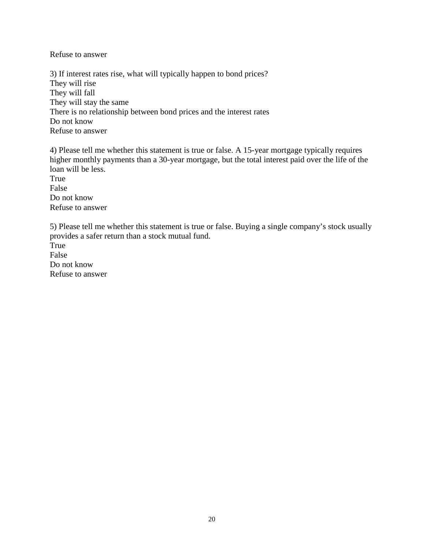Refuse to answer

3) If interest rates rise, what will typically happen to bond prices? They will rise They will fall They will stay the same There is no relationship between bond prices and the interest rates Do not know Refuse to answer

4) Please tell me whether this statement is true or false. A 15-year mortgage typically requires higher monthly payments than a 30-year mortgage, but the total interest paid over the life of the loan will be less. True False Do not know

Refuse to answer

5) Please tell me whether this statement is true or false. Buying a single company's stock usually provides a safer return than a stock mutual fund.

True False Do not know Refuse to answer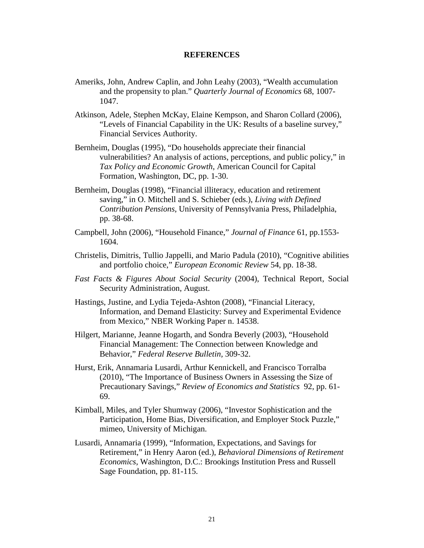#### **REFERENCES**

- Ameriks, John, Andrew Caplin, and John Leahy (2003), "Wealth accumulation and the propensity to plan." *Quarterly Journal of Economics* 68, 1007- 1047.
- Atkinson, Adele, Stephen McKay, Elaine Kempson, and Sharon Collard (2006), "Levels of Financial Capability in the UK: Results of a baseline survey," Financial Services Authority.
- Bernheim, Douglas (1995), "Do households appreciate their financial vulnerabilities? An analysis of actions, perceptions, and public policy," in *Tax Policy and Economic Growth*, American Council for Capital Formation, Washington, DC, pp. 1-30.
- Bernheim, Douglas (1998), "Financial illiteracy, education and retirement saving," in O. Mitchell and S. Schieber (eds.), *Living with Defined Contribution Pensions*, University of Pennsylvania Press, Philadelphia, pp. 38-68.
- Campbell, John (2006), "Household Finance," *Journal of Finance* 61, pp.1553- 1604.
- Christelis, Dimitris, Tullio Jappelli, and Mario Padula (2010), "Cognitive abilities and portfolio choice," *European Economic Review* 54, pp. 18-38.
- *Fast Facts & Figures About Social Security* (2004), Technical Report, Social Security Administration, August.
- Hastings, Justine, and Lydia Tejeda-Ashton (2008), "Financial Literacy, Information, and Demand Elasticity: Survey and Experimental Evidence from Mexico," NBER Working Paper n. 14538.
- Hilgert, Marianne, Jeanne Hogarth, and Sondra Beverly (2003), "Household Financial Management: The Connection between Knowledge and Behavior," *Federal Reserve Bulletin,* 309-32.
- Hurst, Erik, Annamaria Lusardi, Arthur Kennickell, and Francisco Torralba (2010), "The Importance of Business Owners in Assessing the Size of Precautionary Savings," *Review of Economics and Statistics* 92, pp. 61- 69.
- Kimball, Miles, and Tyler Shumway (2006), "Investor Sophistication and the Participation, Home Bias, Diversification, and Employer Stock Puzzle," mimeo, University of Michigan.
- Lusardi, Annamaria (1999), "Information, Expectations, and Savings for Retirement," in Henry Aaron (ed.), *Behavioral Dimensions of Retirement Economics*, Washington, D.C.: Brookings Institution Press and Russell Sage Foundation, pp. 81-115.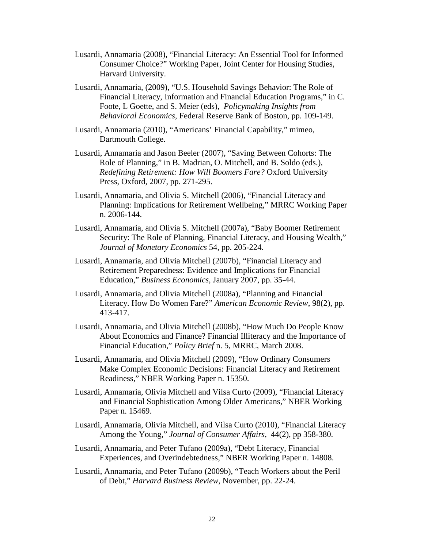- Lusardi, Annamaria (2008), "Financial Literacy: An Essential Tool for Informed Consumer Choice?" Working Paper, Joint Center for Housing Studies, Harvard University.
- Lusardi, Annamaria, (2009), "U.S. Household Savings Behavior: The Role of Financial Literacy, Information and Financial Education Programs," in C. Foote, L Goette, and S. Meier (eds), *Policymaking Insights from Behavioral Economics,* Federal Reserve Bank of Boston, pp. 109-149.
- Lusardi, Annamaria (2010), "Americans' Financial Capability," mimeo, Dartmouth College.
- Lusardi, Annamaria and Jason Beeler (2007), "Saving Between Cohorts: The Role of Planning," in B. Madrian, O. Mitchell, and B. Soldo (eds.), *Redefining Retirement: How Will Boomers Fare?* Oxford University Press, Oxford, 2007, pp. 271-295.
- Lusardi, Annamaria, and Olivia S. Mitchell (2006), "Financial Literacy and Planning: Implications for Retirement Wellbeing," MRRC Working Paper n. 2006-144.
- Lusardi, Annamaria, and Olivia S. Mitchell (2007a), "Baby Boomer Retirement Security: The Role of Planning, Financial Literacy, and Housing Wealth," *Journal of Monetary Economics* 54, pp. 205-224.
- Lusardi, Annamaria, and Olivia Mitchell (2007b), "Financial Literacy and Retirement Preparedness: Evidence and Implications for Financial Education," *Business Economics*, January 2007, pp. 35-44.
- Lusardi, Annamaria, and Olivia Mitchell (2008a), "Planning and Financial Literacy. How Do Women Fare?" *American Economic Review*, 98(2), pp. 413-417.
- Lusardi, Annamaria, and Olivia Mitchell (2008b), "How Much Do People Know About Economics and Finance? Financial Illiteracy and the Importance of Financial Education," *Policy Brief* n. 5, MRRC, March 2008.
- Lusardi, Annamaria, and Olivia Mitchell (2009), "How Ordinary Consumers Make Complex Economic Decisions: Financial Literacy and Retirement Readiness," NBER Working Paper n. 15350.
- Lusardi, Annamaria, Olivia Mitchell and Vilsa Curto (2009), "Financial Literacy and Financial Sophistication Among Older Americans," NBER Working Paper n. 15469.
- Lusardi, Annamaria, Olivia Mitchell, and Vilsa Curto (2010), "Financial Literacy Among the Young," *Journal of Consumer Affairs*, 44(2), pp 358-380.
- Lusardi, Annamaria, and Peter Tufano (2009a), "Debt Literacy, Financial Experiences, and Overindebtedness," NBER Working Paper n. 14808.
- Lusardi, Annamaria, and Peter Tufano (2009b), "Teach Workers about the Peril of Debt," *Harvard Business Review*, November, pp. 22-24.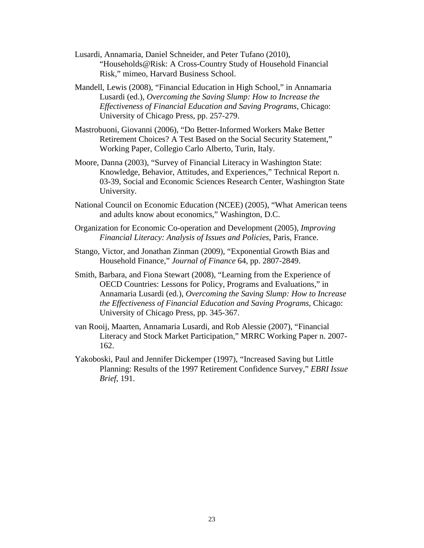- Lusardi, Annamaria, Daniel Schneider, and Peter Tufano (2010), "Households@Risk: A Cross-Country Study of Household Financial Risk," mimeo, Harvard Business School.
- Mandell, Lewis (2008), "Financial Education in High School," in Annamaria Lusardi (ed.), *Overcoming the Saving Slump: How to Increase the Effectiveness of Financial Education and Saving Programs*, Chicago: University of Chicago Press, pp. 257-279.
- Mastrobuoni, Giovanni (2006), "Do Better-Informed Workers Make Better Retirement Choices? A Test Based on the Social Security Statement," Working Paper, Collegio Carlo Alberto, Turin, Italy.
- Moore, Danna (2003), "Survey of Financial Literacy in Washington State: Knowledge, Behavior, Attitudes, and Experiences," Technical Report n. 03-39, Social and Economic Sciences Research Center, Washington State University.
- National Council on Economic Education (NCEE) (2005), "What American teens and adults know about economics," Washington, D.C.
- Organization for Economic Co-operation and Development (2005), *Improving Financial Literacy: Analysis of Issues and Policies*, Paris, France.
- Stango, Victor, and Jonathan Zinman (2009), "Exponential Growth Bias and Household Finance," *Journal of Finance* 64, pp. 2807-2849.
- Smith, Barbara, and Fiona Stewart (2008), "Learning from the Experience of OECD Countries: Lessons for Policy, Programs and Evaluations," in Annamaria Lusardi (ed.), *Overcoming the Saving Slump: How to Increase the Effectiveness of Financial Education and Saving Programs*, Chicago: University of Chicago Press, pp. 345-367.
- van Rooij, Maarten, Annamaria Lusardi, and Rob Alessie (2007), "Financial Literacy and Stock Market Participation," MRRC Working Paper n. 2007- 162.
- Yakoboski, Paul and Jennifer Dickemper (1997), "Increased Saving but Little Planning: Results of the 1997 Retirement Confidence Survey," *EBRI Issue Brief*, 191.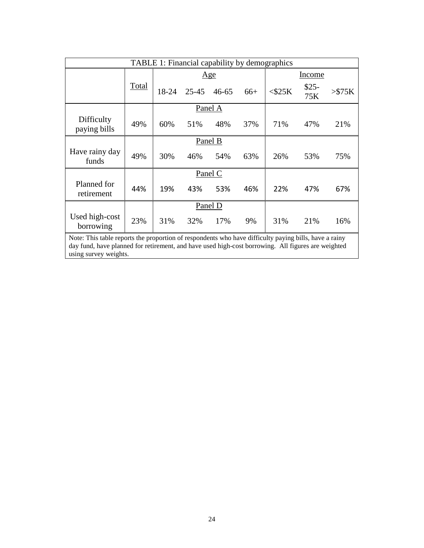| TABLE 1: Financial capability by demographics                                                                                                                                                                                        |       |         |           |           |       |              |               |             |
|--------------------------------------------------------------------------------------------------------------------------------------------------------------------------------------------------------------------------------------|-------|---------|-----------|-----------|-------|--------------|---------------|-------------|
|                                                                                                                                                                                                                                      |       | Age     |           |           |       | Income       |               |             |
|                                                                                                                                                                                                                                      | Total | 18-24   | $25 - 45$ | $46 - 65$ | $66+$ | $<$ \$25 $K$ | $$25-$<br>75K | $>\!\!875K$ |
|                                                                                                                                                                                                                                      |       |         |           | Panel A   |       |              |               |             |
| Difficulty<br>paying bills                                                                                                                                                                                                           | 49%   | 60%     | 51%       | 48%       | 37%   | 71%          | 47%           | 21%         |
|                                                                                                                                                                                                                                      |       | Panel B |           |           |       |              |               |             |
| Have rainy day<br>funds                                                                                                                                                                                                              | 49%   | 30%     | 46%       | 54%       | 63%   | 26%          | 53%           | 75%         |
|                                                                                                                                                                                                                                      |       |         |           | Panel C   |       |              |               |             |
| Planned for<br>retirement                                                                                                                                                                                                            | 44%   | 19%     | 43%       | 53%       | 46%   | 22%          | 47%           | 67%         |
|                                                                                                                                                                                                                                      |       |         |           | Panel D   |       |              |               |             |
| Used high-cost<br>borrowing                                                                                                                                                                                                          | 23%   | 31%     | 32%       | 17%       | 9%    | 31%          | 21%           | 16%         |
| Note: This table reports the proportion of respondents who have difficulty paying bills, have a rainy<br>day fund, have planned for retirement, and have used high-cost borrowing. All figures are weighted<br>using survey weights. |       |         |           |           |       |              |               |             |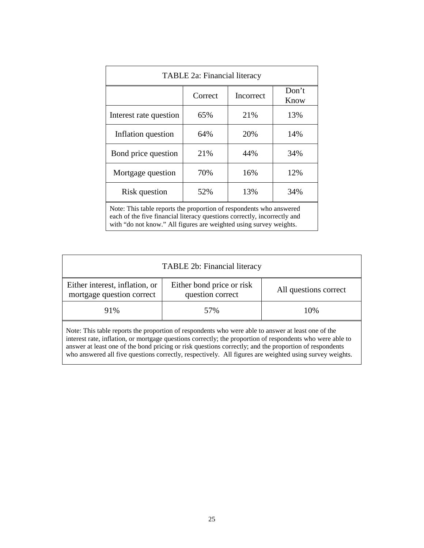| TABLE 2a: Financial literacy                                        |     |     |     |  |  |  |
|---------------------------------------------------------------------|-----|-----|-----|--|--|--|
| Don't<br>Correct<br>Incorrect<br>Know                               |     |     |     |  |  |  |
| Interest rate question                                              | 65% | 21% | 13% |  |  |  |
| Inflation question                                                  | 64% | 20% | 14% |  |  |  |
| Bond price question                                                 | 21% | 44% | 34% |  |  |  |
| 16%<br>12%<br>70%<br>Mortgage question                              |     |     |     |  |  |  |
| 13%<br>52%<br>34%<br>Risk question                                  |     |     |     |  |  |  |
| Note: This table reports the proportion of respondents who answered |     |     |     |  |  |  |

each of the five financial literacy questions correctly, incorrectly and with "do not know." All figures are weighted using survey weights.

| TABLE 2b: Financial literacy                                                                       |                                               |                       |  |  |  |  |
|----------------------------------------------------------------------------------------------------|-----------------------------------------------|-----------------------|--|--|--|--|
| Either interest, inflation, or<br>mortgage question correct                                        | Either bond price or risk<br>question correct | All questions correct |  |  |  |  |
| 91%<br>10%<br>57%                                                                                  |                                               |                       |  |  |  |  |
| Note: This table reports the proportion of respondents who were able to answer at least one of the |                                               |                       |  |  |  |  |

interest rate, inflation, or mortgage questions correctly; the proportion of respondents who were able to answer at least one of the bond pricing or risk questions correctly; and the proportion of respondents who answered all five questions correctly, respectively. All figures are weighted using survey weights.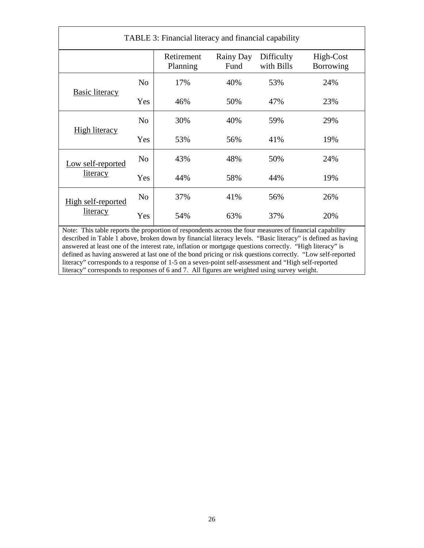| TABLE 3: Financial literacy and financial capability |                |                        |                   |                          |                        |
|------------------------------------------------------|----------------|------------------------|-------------------|--------------------------|------------------------|
|                                                      |                | Retirement<br>Planning | Rainy Day<br>Fund | Difficulty<br>with Bills | High-Cost<br>Borrowing |
| <b>Basic literacy</b>                                | N <sub>o</sub> | 17%                    | 40%               | 53%                      | 24%                    |
|                                                      | Yes            | 46%                    | 50%               | 47%                      | 23%                    |
|                                                      | N <sub>o</sub> | 30%                    | 40%               | 59%                      | 29%                    |
| <b>High literacy</b>                                 | Yes            | 53%                    | 56%               | 41%                      | 19%                    |
| Low self-reported                                    | N <sub>o</sub> | 43%                    | 48%               | 50%                      | 24%                    |
| literacy                                             | Yes            | 44%                    | 58%               | 44%                      | 19%                    |
| High self-reported                                   | N <sub>0</sub> | 37%                    | 41%               | 56%                      | 26%                    |
| <u>literacy</u>                                      | Yes            | 54%                    | 63%               | 37%                      | 20%                    |

Note: This table reports the proportion of respondents across the four measures of financial capability described in Table 1 above, broken down by financial literacy levels. "Basic literacy" is defined as having answered at least one of the interest rate, inflation or mortgage questions correctly. "High literacy" is defined as having answered at last one of the bond pricing or risk questions correctly. "Low self-reported literacy" corresponds to a response of 1-5 on a seven-point self-assessment and "High self-reported literacy" corresponds to responses of 6 and 7. All figures are weighted using survey weight.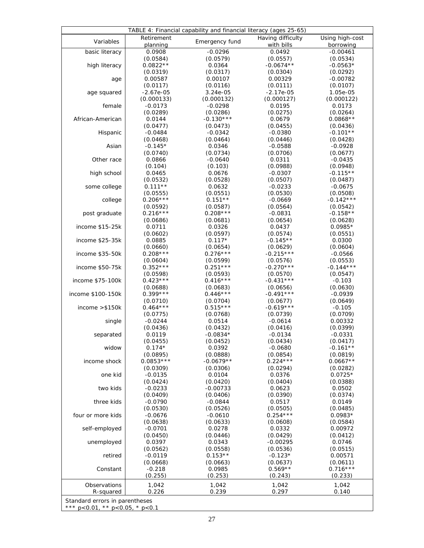| TABLE 4: Financial capability and financial literacy (ages 25-65) |                           |                          |                                 |                              |  |  |  |
|-------------------------------------------------------------------|---------------------------|--------------------------|---------------------------------|------------------------------|--|--|--|
| Variables                                                         | Retirement<br>planning    | Emergency fund           | Having difficulty<br>with bills | Using high-cost<br>borrowing |  |  |  |
| basic literacy                                                    | 0.0908                    | $-0.0296$                | 0.0492                          | $-0.00461$                   |  |  |  |
|                                                                   | (0.0584)                  | (0.0579)                 | (0.0557)                        | (0.0534)                     |  |  |  |
| high literacy                                                     | $0.0822**$                | 0.0364                   | $-0.0674**$                     | $-0.0563*$                   |  |  |  |
|                                                                   | (0.0319)                  | (0.0317)                 | (0.0304)                        | (0.0292)                     |  |  |  |
| age                                                               | 0.00587                   | 0.00107                  | 0.00329                         | $-0.00782$                   |  |  |  |
|                                                                   | (0.0117)                  | (0.0116)                 | (0.0111)                        | (0.0107)                     |  |  |  |
| age squared                                                       | $-2.67e-05$<br>(0.000133) | $3.24e-05$<br>(0.000132) | $-2.17e-05$<br>(0.000127)       | 1.05e-05<br>(0.000122)       |  |  |  |
| female                                                            | $-0.0173$                 | $-0.0298$                | 0.0195                          | 0.0173                       |  |  |  |
|                                                                   | (0.0289)                  | (0.0286)                 | (0.0275)                        | (0.0264)                     |  |  |  |
| African-American                                                  | 0.0144                    | $-0.130***$              | 0.0679                          | $0.0868**$                   |  |  |  |
|                                                                   | (0.0477)                  | (0.0473)                 | (0.0455)                        | (0.0436)                     |  |  |  |
| Hispanic                                                          | $-0.0484$                 | $-0.0342$                | $-0.0380$                       | $-0.101**$                   |  |  |  |
|                                                                   | (0.0468)                  | (0.0464)                 | (0.0446)                        | (0.0428)                     |  |  |  |
| Asian                                                             | $-0.145*$                 | 0.0346                   | $-0.0588$                       | $-0.0928$                    |  |  |  |
|                                                                   | (0.0740)                  | (0.0734)                 | (0.0706)                        | (0.0677)                     |  |  |  |
| Other race                                                        | 0.0866                    | $-0.0640$                | 0.0311                          | $-0.0435$                    |  |  |  |
|                                                                   | (0.104)                   | (0.103)                  | (0.0988)                        | (0.0948)                     |  |  |  |
| high school                                                       | 0.0465                    | 0.0676                   | $-0.0307$                       | $-0.115**$                   |  |  |  |
|                                                                   | (0.0532)                  | (0.0528)                 | (0.0507)                        | (0.0487)                     |  |  |  |
| some college                                                      | $0.111**$                 | 0.0632                   | $-0.0233$                       | $-0.0675$                    |  |  |  |
|                                                                   | (0.0555)<br>$0.206***$    | (0.0551)<br>$0.151**$    | (0.0530)                        | (0.0508)<br>$-0.142***$      |  |  |  |
| college                                                           | (0.0592)                  | (0.0587)                 | $-0.0669$<br>(0.0564)           | (0.0542)                     |  |  |  |
| post graduate                                                     | $0.216***$                | $0.208***$               | $-0.0831$                       | $-0.158**$                   |  |  |  |
|                                                                   | (0.0686)                  | (0.0681)                 | (0.0654)                        | (0.0628)                     |  |  |  |
| income \$15-25k                                                   | 0.0711                    | 0.0326                   | 0.0437                          | $0.0985*$                    |  |  |  |
|                                                                   | (0.0602)                  | (0.0597)                 | (0.0574)                        | (0.0551)                     |  |  |  |
| income \$25-35k                                                   | 0.0885                    | $0.117*$                 | $-0.145**$                      | 0.0300                       |  |  |  |
|                                                                   | (0.0660)                  | (0.0654)                 | (0.0629)                        | (0.0604)                     |  |  |  |
| income \$35-50k                                                   | $0.208***$                | $0.276***$               | $-0.215***$                     | $-0.0566$                    |  |  |  |
|                                                                   | (0.0604)                  | (0.0599)                 | (0.0576)                        | (0.0553)                     |  |  |  |
| income \$50-75k                                                   | $0.352***$                | $0.251***$               | $-0.270***$                     | $-0.144***$                  |  |  |  |
|                                                                   | (0.0598)                  | (0.0593)                 | (0.0570)                        | (0.0547)                     |  |  |  |
| income \$75-100k                                                  | $0.423***$                | $0.416***$               | $-0.431***$                     | $-0.103$                     |  |  |  |
|                                                                   | (0.0688)<br>$0.399***$    | (0.0683)<br>$0.446***$   | (0.0656)<br>$-0.491***$         | (0.0630)                     |  |  |  |
| income \$100-150k                                                 | (0.0710)                  | (0.0704)                 | (0.0677)                        | $-0.0939$<br>(0.0649)        |  |  |  |
| income $> $150k$                                                  | $0.464***$                | $0.515***$               | $-0.619***$                     | $-0.105$                     |  |  |  |
|                                                                   | (0.0775)                  | (0.0768)                 | (0.0739)                        | (0.0709)                     |  |  |  |
| single                                                            | $-0.0244$                 | 0.0514                   | $-0.0614$                       | 0.00332                      |  |  |  |
|                                                                   | (0.0436)                  | (0.0432)                 | (0.0416)                        | (0.0399)                     |  |  |  |
| separated                                                         | 0.0119                    | $-0.0834*$               | $-0.0134$                       | $-0.0331$                    |  |  |  |
|                                                                   | (0.0455)                  | (0.0452)                 | (0.0434)                        | (0.0417)                     |  |  |  |
| widow                                                             | $0.174*$                  | 0.0392                   | $-0.0680$                       | $-0.161**$                   |  |  |  |
|                                                                   | (0.0895)                  | (0.0888)                 | (0.0854)                        | (0.0819)                     |  |  |  |
| income shock                                                      | $0.0853***$               | $-0.0679**$              | $0.224***$                      | $0.0667**$                   |  |  |  |
|                                                                   | (0.0309)                  | (0.0306)                 | (0.0294)                        | (0.0282)                     |  |  |  |
| one kid                                                           | $-0.0135$                 | 0.0104                   | 0.0376                          | $0.0725*$                    |  |  |  |
| two kids                                                          | (0.0424)<br>$-0.0233$     | (0.0420)<br>$-0.00733$   | (0.0404)<br>0.0623              | (0.0388)<br>0.0502           |  |  |  |
|                                                                   | (0.0409)                  | (0.0406)                 | (0.0390)                        | (0.0374)                     |  |  |  |
| three kids                                                        | $-0.0790$                 | $-0.0844$                | 0.0517                          | 0.0149                       |  |  |  |
|                                                                   | (0.0530)                  | (0.0526)                 | (0.0505)                        | (0.0485)                     |  |  |  |
| four or more kids                                                 | $-0.0676$                 | $-0.0610$                | $0.254***$                      | $0.0983*$                    |  |  |  |
|                                                                   | (0.0638)                  | (0.0633)                 | (0.0608)                        | (0.0584)                     |  |  |  |
| self-employed                                                     | $-0.0701$                 | 0.0278                   | 0.0332                          | 0.00972                      |  |  |  |
|                                                                   | (0.0450)                  | (0.0446)                 | (0.0429)                        | (0.0412)                     |  |  |  |
| unemployed                                                        | 0.0397                    | 0.0343                   | $-0.00295$                      | 0.0746                       |  |  |  |
|                                                                   | (0.0562)                  | (0.0558)                 | (0.0536)                        | (0.0515)                     |  |  |  |
| retired                                                           | $-0.0119$                 | $0.153**$                | $-0.123*$                       | 0.00571                      |  |  |  |
|                                                                   | (0.0668)                  | (0.0663)                 | (0.0637)                        | (0.0611)                     |  |  |  |
| Constant                                                          | $-0.218$                  | 0.0985                   | $0.569**$                       | $0.716***$                   |  |  |  |
|                                                                   | (0.255)                   | (0.253)                  | (0.243)                         | (0.233)                      |  |  |  |
| Observations                                                      | 1,042                     | 1,042                    | 1,042                           | 1,042                        |  |  |  |
| R-squared                                                         | 0.226                     | 0.239                    | 0.297                           | 0.140                        |  |  |  |
| Standard errors in parentheses                                    |                           |                          |                                 |                              |  |  |  |
| $p < 0.01$ , ** $p < 0.05$ , * $p < 0.1$                          |                           |                          |                                 |                              |  |  |  |

\*\*\* p<0.01, \*\* p<0.05, \* p<0.1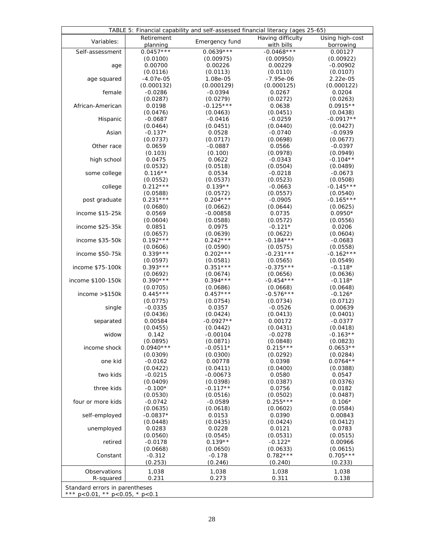| TABLE 5: Financial capability and self-assessed financial literacy (ages 25-65) |                        |                        |                                 |                              |  |  |  |
|---------------------------------------------------------------------------------|------------------------|------------------------|---------------------------------|------------------------------|--|--|--|
| Variables:                                                                      | Retirement<br>planning | Emergency fund         | Having difficulty<br>with bills | Using high-cost<br>borrowing |  |  |  |
| Self-assessment                                                                 | $0.0457***$            | $0.0639***$            | $-0.0468***$                    | 0.00127                      |  |  |  |
|                                                                                 | (0.0100)               | (0.00975)              | (0.00950)                       | (0.00922)                    |  |  |  |
| age                                                                             | 0.00700                | 0.00226                | 0.00229                         | $-0.00902$                   |  |  |  |
|                                                                                 | (0.0116)               | (0.0113)               | (0.0110)                        | (0.0107)                     |  |  |  |
| age squared                                                                     | $-4.07e-05$            | 1.08e-05               | $-7.95e-06$                     | 2.22e-05                     |  |  |  |
|                                                                                 | (0.000132)             | (0.000129)             | (0.000125)                      | (0.000122)                   |  |  |  |
| female                                                                          | $-0.0286$              | $-0.0394$              | 0.0267                          | 0.0204                       |  |  |  |
|                                                                                 | (0.0287)               | (0.0279)               | (0.0272)                        | (0.0263)                     |  |  |  |
| African-American                                                                | 0.0198                 | $-0.125***$            | 0.0638                          | $0.0915**$                   |  |  |  |
|                                                                                 | (0.0476)               | (0.0463)               | (0.0451)                        | (0.0438)                     |  |  |  |
| Hispanic                                                                        | $-0.0687$              | $-0.0416$              | $-0.0259$                       | $-0.0917**$                  |  |  |  |
|                                                                                 | (0.0464)               | (0.0451)               | (0.0440)                        | (0.0427)                     |  |  |  |
| Asian                                                                           | $-0.137*$              | 0.0528                 | $-0.0740$                       | $-0.0939$                    |  |  |  |
|                                                                                 | (0.0737)               | (0.0717)               | (0.0698)                        | (0.0677)                     |  |  |  |
| Other race                                                                      | 0.0659                 | $-0.0887$              | 0.0566                          | $-0.0397$                    |  |  |  |
|                                                                                 | (0.103)                | (0.100)                | (0.0978)                        | (0.0949)                     |  |  |  |
| high school                                                                     | 0.0475                 | 0.0622                 | $-0.0343$                       | $-0.104**$                   |  |  |  |
|                                                                                 | (0.0532)               | (0.0518)               | (0.0504)                        | (0.0489)                     |  |  |  |
| some college                                                                    | $0.116**$              | 0.0534                 | $-0.0218$                       | $-0.0673$                    |  |  |  |
|                                                                                 | (0.0552)<br>$0.212***$ | (0.0537)               | (0.0523)                        | (0.0508)                     |  |  |  |
| college                                                                         |                        | $0.139**$              | $-0.0663$                       | $-0.145***$                  |  |  |  |
|                                                                                 | (0.0588)<br>$0.231***$ | (0.0572)<br>$0.204***$ | (0.0557)<br>$-0.0905$           | (0.0540)<br>$-0.165***$      |  |  |  |
| post graduate                                                                   | (0.0680)               |                        | (0.0644)                        |                              |  |  |  |
| income \$15-25k                                                                 | 0.0569                 | (0.0662)<br>$-0.00858$ | 0.0735                          | (0.0625)<br>$0.0950*$        |  |  |  |
|                                                                                 | (0.0604)               | (0.0588)               | (0.0572)                        | (0.0556)                     |  |  |  |
| income \$25-35k                                                                 | 0.0851                 | 0.0975                 | $-0.121*$                       | 0.0206                       |  |  |  |
|                                                                                 | (0.0657)               | (0.0639)               | (0.0622)                        | (0.0604)                     |  |  |  |
| income \$35-50k                                                                 | $0.192***$             | $0.242***$             | $-0.184***$                     | $-0.0683$                    |  |  |  |
|                                                                                 | (0.0606)               | (0.0590)               | (0.0575)                        | (0.0558)                     |  |  |  |
| income \$50-75k                                                                 | $0.339***$             | $0.202***$             | $-0.231***$                     | $-0.162***$                  |  |  |  |
|                                                                                 | (0.0597)               | (0.0581)               | (0.0565)                        | (0.0549)                     |  |  |  |
| income \$75-100k                                                                | $0.393***$             | $0.351***$             | $-0.375***$                     | $-0.118*$                    |  |  |  |
|                                                                                 | (0.0692)               | (0.0674)               | (0.0656)                        | (0.0636)                     |  |  |  |
| income \$100-150k                                                               | $0.390***$             | $0.394***$             | $-0.454***$                     | $-0.118*$                    |  |  |  |
|                                                                                 | (0.0705)               | (0.0686)               | (0.0668)                        | (0.0648)                     |  |  |  |
| income $> $150k$                                                                | $0.445***$             | $0.457***$             | $-0.576***$                     | $-0.126*$                    |  |  |  |
|                                                                                 | (0.0775)               | (0.0754)               | (0.0734)                        | (0.0712)                     |  |  |  |
| single                                                                          | $-0.0335$              | 0.0357                 | $-0.0526$                       | 0.00639                      |  |  |  |
|                                                                                 | (0.0436)               | (0.0424)               | (0.0413)                        | (0.0401)                     |  |  |  |
| separated                                                                       | 0.00584                | $-0.0927**$            | 0.00172                         | $-0.0377$                    |  |  |  |
|                                                                                 | (0.0455)               | (0.0442)               | (0.0431)                        | (0.0418)                     |  |  |  |
| widow                                                                           | 0.142                  | $-0.00104$             | $-0.0278$                       | $-0.163**$                   |  |  |  |
|                                                                                 | (0.0895)               | (0.0871)               | (0.0848)                        | (0.0823)                     |  |  |  |
| income shock                                                                    | $0.0940***$            | $-0.0511*$             | $0.215***$                      | $0.0653**$                   |  |  |  |
|                                                                                 | (0.0309)               | (0.0300)               | (0.0292)                        | (0.0284)                     |  |  |  |
| one kid                                                                         | $-0.0162$              | 0.00778                | 0.0398                          | $0.0764**$                   |  |  |  |
|                                                                                 | (0.0422)               | (0.0411)               | (0.0400)                        | (0.0388)                     |  |  |  |
| two kids                                                                        | $-0.0215$              | $-0.00673$             | 0.0580                          | 0.0547                       |  |  |  |
|                                                                                 | (0.0409)               | (0.0398)               | (0.0387)                        | (0.0376)                     |  |  |  |
| three kids                                                                      | $-0.100*$              | $-0.117**$             | 0.0756                          | 0.0182                       |  |  |  |
|                                                                                 | (0.0530)               | (0.0516)               | (0.0502)                        | (0.0487)                     |  |  |  |
| four or more kids                                                               | $-0.0742$              | $-0.0589$              | $0.255***$                      | $0.106*$                     |  |  |  |
|                                                                                 | (0.0635)               | (0.0618)               | (0.0602)                        | (0.0584)                     |  |  |  |
| self-employed                                                                   | $-0.0837*$             | 0.0153                 | 0.0390                          | 0.00843                      |  |  |  |
|                                                                                 | (0.0448)               | (0.0435)               | (0.0424)                        | (0.0412)                     |  |  |  |
| unemployed                                                                      | 0.0283                 | 0.0228                 | 0.0121                          | 0.0783                       |  |  |  |
|                                                                                 | (0.0560)               | (0.0545)<br>$0.139**$  | (0.0531)                        | (0.0515)                     |  |  |  |
| retired                                                                         | $-0.0178$              |                        | $-0.122*$                       | 0.00966                      |  |  |  |
|                                                                                 | (0.0668)               | (0.0650)               | (0.0633)<br>$0.782***$          | (0.0615)<br>$0.705***$       |  |  |  |
| Constant                                                                        | $-0.312$               | $-0.178$<br>(0.246)    |                                 |                              |  |  |  |
|                                                                                 | (0.253)                |                        | (0.240)                         | (0.233)                      |  |  |  |
| Observations                                                                    | 1,038                  | 1,038                  | 1,038                           | 1,038                        |  |  |  |
| R-squared                                                                       | 0.231                  | 0.273                  | 0.311                           | 0.138                        |  |  |  |
| Standard errors in parentheses                                                  |                        |                        |                                 |                              |  |  |  |
| *** p<0.01, ** p<0.05, * p<0.1                                                  |                        |                        |                                 |                              |  |  |  |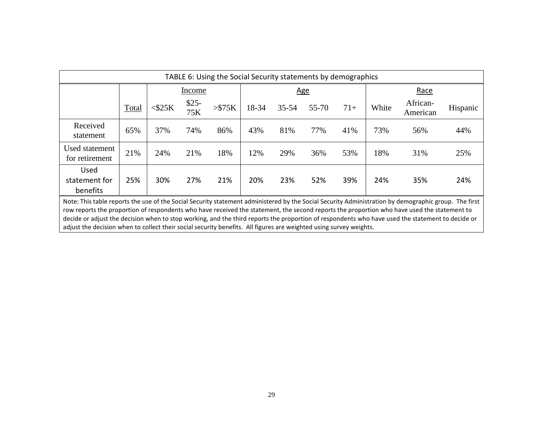| TABLE 6: Using the Social Security statements by demographics                                                                                                                                                                                                                                                                                                                                                                                                                                                                                                                 |       |           |               |         |       |            |       |       |       |                      |          |
|-------------------------------------------------------------------------------------------------------------------------------------------------------------------------------------------------------------------------------------------------------------------------------------------------------------------------------------------------------------------------------------------------------------------------------------------------------------------------------------------------------------------------------------------------------------------------------|-------|-----------|---------------|---------|-------|------------|-------|-------|-------|----------------------|----------|
|                                                                                                                                                                                                                                                                                                                                                                                                                                                                                                                                                                               |       |           | Income        |         |       | <u>Age</u> |       |       |       | Race                 |          |
|                                                                                                                                                                                                                                                                                                                                                                                                                                                                                                                                                                               | Total | $<$ \$25K | $$25-$<br>75K | > \$75K | 18-34 | $35 - 54$  | 55-70 | $71+$ | White | African-<br>American | Hispanic |
| Received<br>statement                                                                                                                                                                                                                                                                                                                                                                                                                                                                                                                                                         | 65%   | 37%       | 74%           | 86%     | 43%   | 81%        | 77%   | 41%   | 73%   | 56%                  | 44%      |
| Used statement<br>for retirement                                                                                                                                                                                                                                                                                                                                                                                                                                                                                                                                              | 21%   | 24%       | 21%           | 18%     | 12%   | 29%        | 36%   | 53%   | 18%   | 31%                  | 25%      |
| <b>Used</b><br>statement for<br>benefits                                                                                                                                                                                                                                                                                                                                                                                                                                                                                                                                      | 25%   | 30%       | 27%           | 21%     | 20%   | 23%        | 52%   | 39%   | 24%   | 35%                  | 24%      |
| Note: This table reports the use of the Social Security statement administered by the Social Security Administration by demographic group. The first<br>row reports the proportion of respondents who have received the statement, the second reports the proportion who have used the statement to<br>decide or adjust the decision when to stop working, and the third reports the proportion of respondents who have used the statement to decide or<br>adjust the decision when to collect their social security benefits. All figures are weighted using survey weights. |       |           |               |         |       |            |       |       |       |                      |          |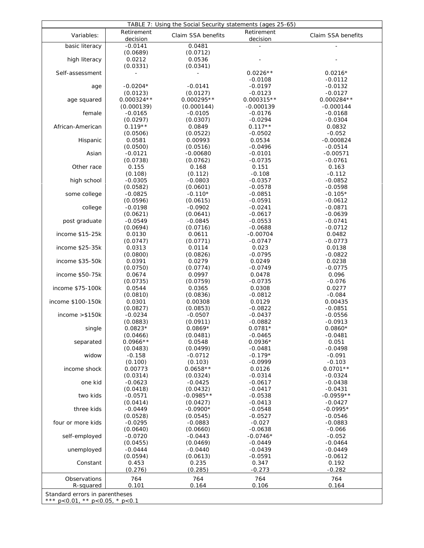| TABLE 7: Using the Social Security statements (ages 25-65) |                        |                         |                        |                          |  |
|------------------------------------------------------------|------------------------|-------------------------|------------------------|--------------------------|--|
| Variables:                                                 | Retirement<br>decision | Claim SSA benefits      | Retirement<br>decision | Claim SSA benefits       |  |
| basic literacy                                             | $-0.0141$              | 0.0481                  | $\overline{a}$         |                          |  |
|                                                            | (0.0689)               | (0.0712)                |                        |                          |  |
| high literacy                                              | 0.0212                 | 0.0536                  |                        |                          |  |
|                                                            | (0.0331)               | (0.0341)                |                        |                          |  |
| Self-assessment                                            |                        |                         | $0.0226**$             | $0.0216*$                |  |
|                                                            | $-0.0204*$             | $-0.0141$               | $-0.0108$<br>$-0.0197$ | $-0.0112$<br>$-0.0132$   |  |
| age                                                        | (0.0123)               | (0.0127)                | $-0.0123$              | $-0.0127$                |  |
| age squared                                                | $0.000324**$           | $0.000295**$            | $0.000315**$           | $0.000284**$             |  |
|                                                            | (0.000139)             | (0.000144)              | $-0.000139$            | $-0.000144$              |  |
| female                                                     | $-0.0165$              | $-0.0105$               | $-0.0176$              | $-0.0168$                |  |
|                                                            | (0.0297)               | (0.0307)                | $-0.0294$              | $-0.0304$                |  |
| African-American                                           | $0.119**$              | 0.0849                  | $0.117**$              | 0.0832                   |  |
|                                                            | (0.0506)               | (0.0522)                | $-0.0502$              | $-0.052$                 |  |
| Hispanic                                                   | 0.0581                 | 0.00993                 | 0.0534                 | $-0.000824$              |  |
|                                                            | (0.0500)               | (0.0516)                | $-0.0496$              | $-0.0514$                |  |
| Asian                                                      | $-0.0121$              | $-0.00680$              | $-0.0101$              | $-0.00571$               |  |
|                                                            | (0.0738)               | (0.0762)                | $-0.0735$              | $-0.0761$                |  |
| Other race                                                 | 0.155<br>(0.108)       | 0.168<br>(0.112)        | 0.151<br>$-0.108$      | 0.163<br>$-0.112$        |  |
| high school                                                | $-0.0305$              | $-0.0803$               | $-0.0357$              | $-0.0852$                |  |
|                                                            | (0.0582)               | (0.0601)                | $-0.0578$              | $-0.0598$                |  |
| some college                                               | $-0.0825$              | $-0.110*$               | $-0.0851$              | $-0.105*$                |  |
|                                                            | (0.0596)               | (0.0615)                | $-0.0591$              | $-0.0612$                |  |
| college                                                    | $-0.0198$              | $-0.0902$               | $-0.0241$              | $-0.0871$                |  |
|                                                            | (0.0621)               | (0.0641)                | $-0.0617$              | $-0.0639$                |  |
| post graduate                                              | $-0.0549$              | $-0.0845$               | $-0.0553$              | $-0.0741$                |  |
|                                                            | (0.0694)               | (0.0716)                | $-0.0688$              | $-0.0712$                |  |
| income \$15-25k                                            | 0.0130                 | 0.0611                  | $-0.00704$             | 0.0482                   |  |
|                                                            | (0.0747)               | (0.0771)                | $-0.0747$              | $-0.0773$                |  |
| income \$25-35k                                            | 0.0313                 | 0.0114                  | 0.023                  | 0.0138                   |  |
| income \$35-50k                                            | (0.0800)<br>0.0391     | (0.0826)<br>0.0279      | $-0.0795$<br>0.0249    | $-0.0822$<br>0.0238      |  |
|                                                            | (0.0750)               | (0.0774)                | $-0.0749$              | $-0.0775$                |  |
| income \$50-75k                                            | 0.0674                 | 0.0997                  | 0.0478                 | 0.096                    |  |
|                                                            | (0.0735)               | (0.0759)                | $-0.0735$              | $-0.076$                 |  |
| income \$75-100k                                           | 0.0544                 | 0.0365                  | 0.0308                 | 0.0277                   |  |
|                                                            | (0.0810)               | (0.0836)                | $-0.0812$              | $-0.084$                 |  |
| income \$100-150k                                          | 0.0301                 | 0.00308                 | 0.0129                 | 0.00435                  |  |
|                                                            | (0.0827)               | (0.0853)                | $-0.0822$              | $-0.0851$                |  |
| income > \$150k                                            | $-0.0234$              | $-0.0507$               | $-0.0437$              | $-0.0556$                |  |
|                                                            | (0.0883)<br>$0.0823*$  | (0.0911)<br>$0.0869*$   | $-0.0882$<br>$0.0781*$ | $-0.0913$<br>$0.0860*$   |  |
| single                                                     | (0.0466)               | (0.0481)                | $-0.0465$              | $-0.0481$                |  |
| separated                                                  | $0.0966**$             | 0.0548                  | $0.0936*$              | 0.051                    |  |
|                                                            | (0.0483)               | (0.0499)                | $-0.0481$              | $-0.0498$                |  |
| widow                                                      | $-0.158$               | $-0.0712$               | $-0.179*$              | $-0.091$                 |  |
|                                                            | (0.100)                | (0.103)                 | $-0.0999$              | $-0.103$                 |  |
| income shock                                               | 0.00773                | $0.0658**$              | 0.0126                 | $0.0701**$               |  |
|                                                            | (0.0314)               | (0.0324)                | $-0.0314$              | $-0.0324$                |  |
| one kid                                                    | $-0.0623$              | $-0.0425$               | $-0.0617$              | $-0.0438$                |  |
| two kids                                                   | (0.0418)               | (0.0432)                | $-0.0417$              | $-0.0431$                |  |
|                                                            | $-0.0571$<br>(0.0414)  | $-0.0985**$<br>(0.0427) | $-0.0538$<br>$-0.0413$ | $-0.0959**$<br>$-0.0427$ |  |
| three kids                                                 | $-0.0449$              | $-0.0900*$              | $-0.0548$              | $-0.0995*$               |  |
|                                                            | (0.0528)               | (0.0545)                | $-0.0527$              | $-0.0546$                |  |
| four or more kids                                          | $-0.0295$              | $-0.0883$               | $-0.027$               | $-0.0883$                |  |
|                                                            | (0.0640)               | (0.0660)                | $-0.0638$              | $-0.066$                 |  |
| self-employed                                              | $-0.0720$              | $-0.0443$               | $-0.0746*$             | $-0.052$                 |  |
|                                                            | (0.0455)               | (0.0469)                | $-0.0449$              | $-0.0464$                |  |
| unemployed                                                 | $-0.0444$              | $-0.0440$               | $-0.0439$              | $-0.0449$                |  |
|                                                            | (0.0594)               | (0.0613)                | $-0.0591$              | $-0.0612$                |  |
| Constant                                                   | 0.453                  | 0.235                   | 0.347                  | 0.192                    |  |
|                                                            | (0.276)                | (0.285)                 | $-0.273$               | $-0.282$                 |  |
| Observations                                               | 764                    | 764                     | 764                    | 764                      |  |
| R-squared                                                  | 0.101                  | 0.164                   | 0.106                  | 0.164                    |  |
| Standard errors in parentheses                             |                        |                         |                        |                          |  |
| *** p<0.01, ** p<0.05, * p<0.1                             |                        |                         |                        |                          |  |